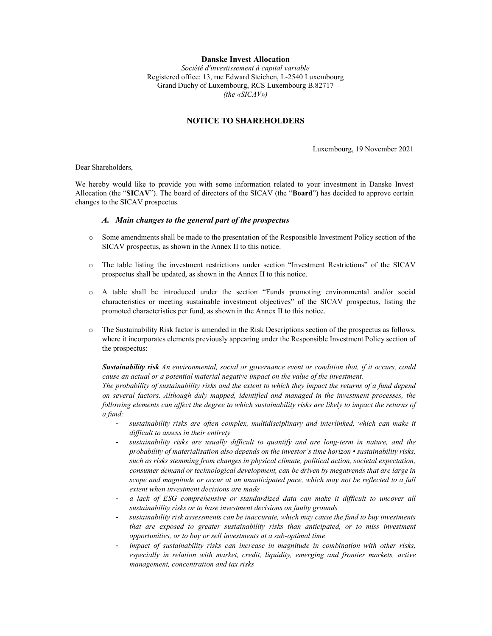### Danske Invest Allocation

Société d'investissement à capital variable Registered office: 13, rue Edward Steichen, L-2540 Luxembourg Grand Duchy of Luxembourg, RCS Luxembourg B.82717 (the «SICAV»)

## NOTICE TO SHAREHOLDERS

Luxembourg, 19 November 2021

Dear Shareholders,

We hereby would like to provide you with some information related to your investment in Danske Invest Allocation (the "SICAV"). The board of directors of the SICAV (the "Board") has decided to approve certain changes to the SICAV prospectus.

### A. Main changes to the general part of the prospectus

- o Some amendments shall be made to the presentation of the Responsible Investment Policy section of the SICAV prospectus, as shown in the Annex II to this notice.
- o The table listing the investment restrictions under section "Investment Restrictions" of the SICAV prospectus shall be updated, as shown in the Annex II to this notice.
- o A table shall be introduced under the section "Funds promoting environmental and/or social characteristics or meeting sustainable investment objectives" of the SICAV prospectus, listing the promoted characteristics per fund, as shown in the Annex II to this notice.
- o The Sustainability Risk factor is amended in the Risk Descriptions section of the prospectus as follows, where it incorporates elements previously appearing under the Responsible Investment Policy section of the prospectus:

Sustainability risk An environmental, social or governance event or condition that, if it occurs, could cause an actual or a potential material negative impact on the value of the investment.

The probability of sustainability risks and the extent to which they impact the returns of a fund depend on several factors. Although duly mapped, identified and managed in the investment processes, the following elements can affect the degree to which sustainability risks are likely to impact the returns of a fund:

- sustainability risks are often complex, multidisciplinary and interlinked, which can make it difficult to assess in their entirety
- sustainability risks are usually difficult to quantify and are long-term in nature, and the probability of materialisation also depends on the investor's time horizon  $\cdot$  sustainability risks, such as risks stemming from changes in physical climate, political action, societal expectation, consumer demand or technological development, can be driven by megatrends that are large in scope and magnitude or occur at an unanticipated pace, which may not be reflected to a full extent when investment decisions are made
- a lack of ESG comprehensive or standardized data can make it difficult to uncover all sustainability risks or to base investment decisions on faulty grounds
- sustainability risk assessments can be inaccurate, which may cause the fund to buy investments that are exposed to greater sustainability risks than anticipated, or to miss investment opportunities, or to buy or sell investments at a sub-optimal time
- impact of sustainability risks can increase in magnitude in combination with other risks, especially in relation with market, credit, liquidity, emerging and frontier markets, active management, concentration and tax risks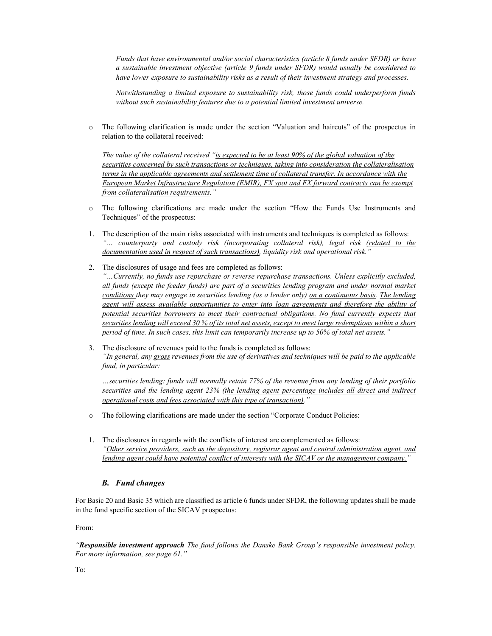Funds that have environmental and/or social characteristics (article 8 funds under SFDR) or have a sustainable investment objective (article 9 funds under SFDR) would usually be considered to have lower exposure to sustainability risks as a result of their investment strategy and processes.

Notwithstanding a limited exposure to sustainability risk, those funds could underperform funds without such sustainability features due to a potential limited investment universe.

o The following clarification is made under the section "Valuation and haircuts" of the prospectus in relation to the collateral received:

The value of the collateral received "is expected to be at least 90% of the global valuation of the securities concerned by such transactions or techniques, taking into consideration the collateralisation terms in the applicable agreements and settlement time of collateral transfer. In accordance with the European Market Infrastructure Regulation (EMIR), FX spot and FX forward contracts can be exempt from collateralisation requirements."

- o The following clarifications are made under the section "How the Funds Use Instruments and Techniques" of the prospectus:
- 1. The description of the main risks associated with instruments and techniques is completed as follows: "... counterparty and custody risk (incorporating collateral risk), legal risk (related to the documentation used in respect of such transactions), liquidity risk and operational risk."
- 2. The disclosures of usage and fees are completed as follows: "…Currently, no funds use repurchase or reverse repurchase transactions. Unless explicitly excluded, all funds (except the feeder funds) are part of a securities lending program and under normal market conditions they may engage in securities lending (as a lender only) on a continuous basis. The lending agent will assess available opportunities to enter into loan agreements and therefore the ability of potential securities borrowers to meet their contractual obligations. No fund currently expects that securities lending will exceed 30 % of its total net assets, except to meet large redemptions within a short period of time. In such cases, this limit can temporarily increase up to 50% of total net assets."
- 3. The disclosure of revenues paid to the funds is completed as follows: "In general, any gross revenues from the use of derivatives and techniques will be paid to the applicable fund, in particular:

…securities lending: funds will normally retain 77% of the revenue from any lending of their portfolio securities and the lending agent 23% (the lending agent percentage includes all direct and indirect operational costs and fees associated with this type of transaction)."

- o The following clarifications are made under the section "Corporate Conduct Policies:
- 1. The disclosures in regards with the conflicts of interest are complemented as follows: "Other service providers, such as the depositary, registrar agent and central administration agent, and lending agent could have potential conflict of interests with the SICAV or the management company."

## B. Fund changes

For Basic 20 and Basic 35 which are classified as article 6 funds under SFDR, the following updates shall be made in the fund specific section of the SICAV prospectus:

From:

"Responsible investment approach The fund follows the Danske Bank Group's responsible investment policy. For more information, see page 61."

To: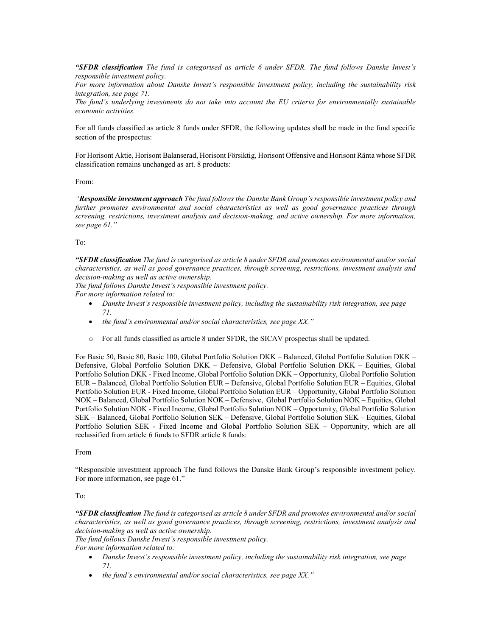"SFDR classification The fund is categorised as article 6 under SFDR. The fund follows Danske Invest's responsible investment policy.

For more information about Danske Invest's responsible investment policy, including the sustainability risk integration, see page 71.

The fund's underlying investments do not take into account the EU criteria for environmentally sustainable economic activities.

For all funds classified as article 8 funds under SFDR, the following updates shall be made in the fund specific section of the prospectus:

For Horisont Aktie, Horisont Balanserad, Horisont Försiktig, Horisont Offensive and Horisont Ränta whose SFDR classification remains unchanged as art. 8 products:

From:

"Responsible investment approach The fund follows the Danske Bank Group's responsible investment policy and further promotes environmental and social characteristics as well as good governance practices through screening, restrictions, investment analysis and decision-making, and active ownership. For more information, see page 61."

#### To:

"SFDR classification The fund is categorised as article 8 under SFDR and promotes environmental and/or social characteristics, as well as good governance practices, through screening, restrictions, investment analysis and decision-making as well as active ownership.

The fund follows Danske Invest's responsible investment policy.

For more information related to:

- Danske Invest's responsible investment policy, including the sustainability risk integration, see page 71.
- $\bullet$  the fund's environmental and/or social characteristics, see page XX."
- o For all funds classified as article 8 under SFDR, the SICAV prospectus shall be updated.

For Basic 50, Basic 80, Basic 100, Global Portfolio Solution DKK – Balanced, Global Portfolio Solution DKK – Defensive, Global Portfolio Solution DKK – Defensive, Global Portfolio Solution DKK – Equities, Global Portfolio Solution DKK - Fixed Income, Global Portfolio Solution DKK – Opportunity, Global Portfolio Solution EUR – Balanced, Global Portfolio Solution EUR – Defensive, Global Portfolio Solution EUR – Equities, Global Portfolio Solution EUR - Fixed Income, Global Portfolio Solution EUR – Opportunity, Global Portfolio Solution NOK – Balanced, Global Portfolio Solution NOK – Defensive, Global Portfolio Solution NOK – Equities, Global Portfolio Solution NOK - Fixed Income, Global Portfolio Solution NOK – Opportunity, Global Portfolio Solution SEK – Balanced, Global Portfolio Solution SEK – Defensive, Global Portfolio Solution SEK – Equities, Global Portfolio Solution SEK - Fixed Income and Global Portfolio Solution SEK – Opportunity, which are all reclassified from article 6 funds to SFDR article 8 funds:

#### From

"Responsible investment approach The fund follows the Danske Bank Group's responsible investment policy. For more information, see page 61."

### To:

"SFDR classification The fund is categorised as article 8 under SFDR and promotes environmental and/or social characteristics, as well as good governance practices, through screening, restrictions, investment analysis and decision-making as well as active ownership.

The fund follows Danske Invest's responsible investment policy.

For more information related to:

- Danske Invest's responsible investment policy, including the sustainability risk integration, see page 71.
- $\bullet$  the fund's environmental and/or social characteristics, see page XX."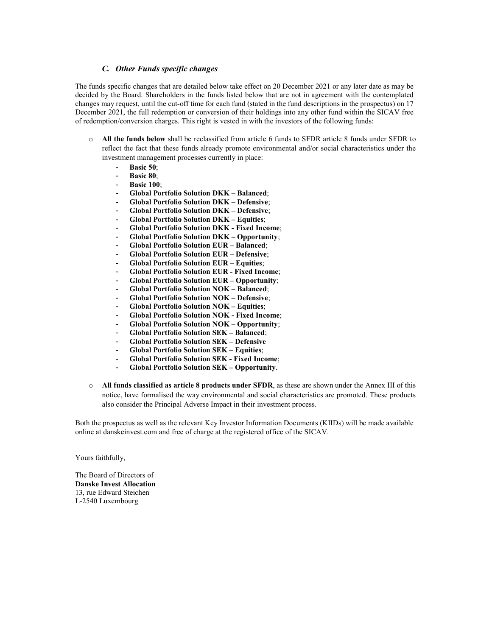# C. Other Funds specific changes

The funds specific changes that are detailed below take effect on 20 December 2021 or any later date as may be decided by the Board. Shareholders in the funds listed below that are not in agreement with the contemplated changes may request, until the cut-off time for each fund (stated in the fund descriptions in the prospectus) on 17 December 2021, the full redemption or conversion of their holdings into any other fund within the SICAV free of redemption/conversion charges. This right is vested in with the investors of the following funds:

- o All the funds below shall be reclassified from article 6 funds to SFDR article 8 funds under SFDR to reflect the fact that these funds already promote environmental and/or social characteristics under the investment management processes currently in place:
	- Basic 50;
	- Basic 80;
	- **Basic 100:**
	- Global Portfolio Solution DKK Balanced;
	- Global Portfolio Solution DKK Defensive;
	- Global Portfolio Solution DKK Defensive;
	- Global Portfolio Solution DKK Equities;
	- Global Portfolio Solution DKK Fixed Income;
	- Global Portfolio Solution DKK Opportunity;
	- Global Portfolio Solution EUR Balanced;
	- Global Portfolio Solution EUR Defensive;
	- Global Portfolio Solution EUR Equities;
	- Global Portfolio Solution EUR Fixed Income;
	- Global Portfolio Solution EUR Opportunity;
	- Global Portfolio Solution NOK Balanced:
	- Global Portfolio Solution NOK Defensive;
	- Global Portfolio Solution NOK Equities;
	- Global Portfolio Solution NOK Fixed Income;
	- Global Portfolio Solution NOK Opportunity;
	- Global Portfolio Solution SEK Balanced;
	- Global Portfolio Solution SEK Defensive
	- Global Portfolio Solution SEK Equities;
	- Global Portfolio Solution SEK Fixed Income;
	- Global Portfolio Solution SEK Opportunity.
- $\circ$  All funds classified as article 8 products under SFDR, as these are shown under the Annex III of this notice, have formalised the way environmental and social characteristics are promoted. These products also consider the Principal Adverse Impact in their investment process.

Both the prospectus as well as the relevant Key Investor Information Documents (KIIDs) will be made available online at danskeinvest.com and free of charge at the registered office of the SICAV.

Yours faithfully,

The Board of Directors of Danske Invest Allocation 13, rue Edward Steichen L-2540 Luxembourg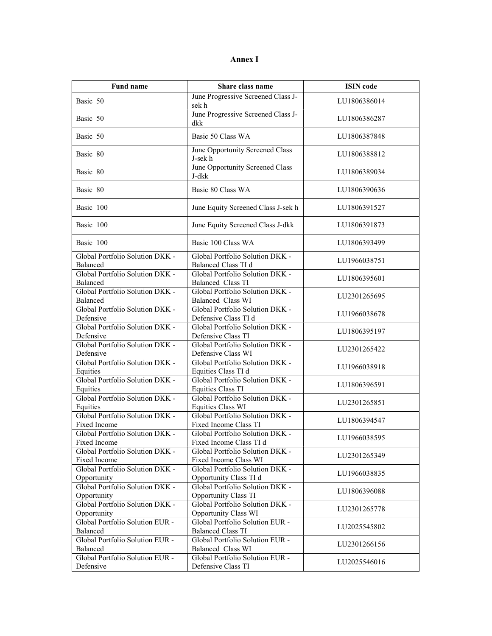# Annex I

| <b>Fund name</b>                                | Share class name                                               | <b>ISIN</b> code |
|-------------------------------------------------|----------------------------------------------------------------|------------------|
| Basic 50                                        | June Progressive Screened Class J-<br>sek h                    | LU1806386014     |
| Basic 50                                        | June Progressive Screened Class J-<br>dkk                      | LU1806386287     |
| Basic 50                                        | Basic 50 Class WA                                              | LU1806387848     |
| Basic 80                                        | June Opportunity Screened Class<br>J-sek h                     | LU1806388812     |
| Basic 80                                        | June Opportunity Screened Class<br>J-dkk                       | LU1806389034     |
| Basic 80                                        | Basic 80 Class WA                                              | LU1806390636     |
| Basic 100                                       | June Equity Screened Class J-sek h                             | LU1806391527     |
| Basic 100                                       | June Equity Screened Class J-dkk                               | LU1806391873     |
| Basic 100                                       | Basic 100 Class WA                                             | LU1806393499     |
| Global Portfolio Solution DKK -<br>Balanced     | Global Portfolio Solution DKK -<br>Balanced Class TI d         | LU1966038751     |
| Global Portfolio Solution DKK -<br>Balanced     | Global Portfolio Solution DKK -<br>Balanced Class TI           | LU1806395601     |
| Global Portfolio Solution DKK -<br>Balanced     | Global Portfolio Solution DKK -<br>Balanced Class WI           | LU2301265695     |
| Global Portfolio Solution DKK -<br>Defensive    | Global Portfolio Solution DKK -<br>Defensive Class TI d        | LU1966038678     |
| Global Portfolio Solution DKK -<br>Defensive    | Global Portfolio Solution DKK -<br>Defensive Class TI          | LU1806395197     |
| Global Portfolio Solution DKK -<br>Defensive    | Global Portfolio Solution DKK -<br>Defensive Class WI          | LU2301265422     |
| Global Portfolio Solution DKK -<br>Equities     | Global Portfolio Solution DKK -<br>Equities Class TI d         | LU1966038918     |
| Global Portfolio Solution DKK -<br>Equities     | Global Portfolio Solution DKK -<br>Equities Class TI           | LU1806396591     |
| Global Portfolio Solution DKK -<br>Equities     | Global Portfolio Solution DKK -<br>Equities Class WI           | LU2301265851     |
| Global Portfolio Solution DKK -<br>Fixed Income | Global Portfolio Solution DKK -<br>Fixed Income Class TI       | LU1806394547     |
| Global Portfolio Solution DKK -<br>Fixed Income | Global Portfolio Solution DKK -<br>Fixed Income Class TI d     | LU1966038595     |
| Global Portfolio Solution DKK -<br>Fixed Income | Global Portfolio Solution DKK -<br>Fixed Income Class WI       | LU2301265349     |
| Global Portfolio Solution DKK -<br>Opportunity  | Global Portfolio Solution DKK -<br>Opportunity Class TI d      | LU1966038835     |
| Global Portfolio Solution DKK -<br>Opportunity  | Global Portfolio Solution DKK -<br>Opportunity Class TI        | LU1806396088     |
| Global Portfolio Solution DKK -<br>Opportunity  | Global Portfolio Solution DKK -<br><b>Opportunity Class WI</b> | LU2301265778     |
| Global Portfolio Solution EUR -<br>Balanced     | Global Portfolio Solution EUR -<br><b>Balanced Class TI</b>    | LU2025545802     |
| Global Portfolio Solution EUR -<br>Balanced     | Global Portfolio Solution EUR -<br>Balanced Class WI           | LU2301266156     |
| Global Portfolio Solution EUR -<br>Defensive    | Global Portfolio Solution EUR -<br>Defensive Class TI          | LU2025546016     |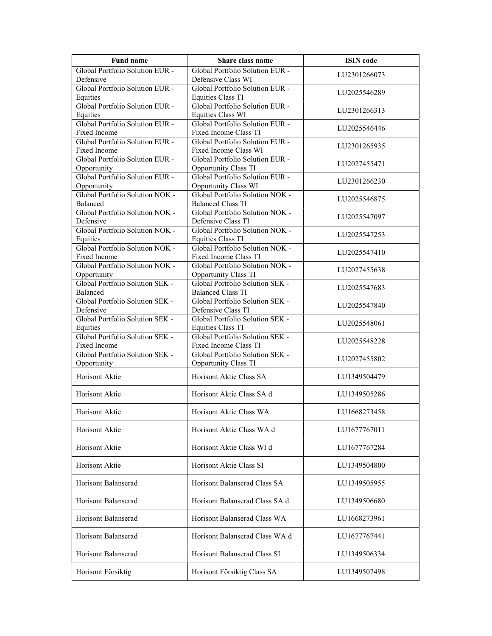| <b>Fund name</b>                             | Share class name                                            | <b>ISIN</b> code |
|----------------------------------------------|-------------------------------------------------------------|------------------|
| Global Portfolio Solution EUR -              | Global Portfolio Solution EUR -                             | LU2301266073     |
| Defensive                                    | Defensive Class WI                                          |                  |
| Global Portfolio Solution EUR -              | Global Portfolio Solution EUR -                             | LU2025546289     |
| Equities<br>Global Portfolio Solution EUR -  | Equities Class TI<br>Global Portfolio Solution EUR -        |                  |
| Equities                                     | Equities Class WI                                           | LU2301266313     |
| Global Portfolio Solution EUR -              | Global Portfolio Solution EUR -                             |                  |
| Fixed Income                                 | Fixed Income Class TI                                       | LU2025546446     |
| Global Portfolio Solution EUR -              | Global Portfolio Solution EUR -                             |                  |
| Fixed Income                                 | Fixed Income Class WI                                       | LU2301265935     |
| Global Portfolio Solution EUR -              | Global Portfolio Solution EUR -                             | LU2027455471     |
| Opportunity                                  | Opportunity Class TI                                        |                  |
| Global Portfolio Solution EUR -              | Global Portfolio Solution EUR -                             | LU2301266230     |
| Opportunity                                  | <b>Opportunity Class WI</b>                                 |                  |
| Global Portfolio Solution NOK -              | Global Portfolio Solution NOK -                             | LU2025546875     |
| Balanced<br>Global Portfolio Solution NOK -  | <b>Balanced Class TI</b><br>Global Portfolio Solution NOK - |                  |
| Defensive                                    | Defensive Class TI                                          | LU2025547097     |
| Global Portfolio Solution NOK -              | Global Portfolio Solution NOK -                             |                  |
| Equities                                     | Equities Class TI                                           | LU2025547253     |
| Global Portfolio Solution NOK -              | Global Portfolio Solution NOK -                             |                  |
| Fixed Income                                 | Fixed Income Class TI                                       | LU2025547410     |
| Global Portfolio Solution NOK -              | Global Portfolio Solution NOK -                             | LU2027455638     |
| Opportunity                                  | Opportunity Class TI                                        |                  |
| Global Portfolio Solution SEK -              | Global Portfolio Solution SEK -                             | LU2025547683     |
| Balanced                                     | <b>Balanced Class TI</b>                                    |                  |
| Global Portfolio Solution SEK -<br>Defensive | Global Portfolio Solution SEK -<br>Defensive Class TI       | LU2025547840     |
| Global Portfolio Solution SEK -              | Global Portfolio Solution SEK -                             |                  |
| Equities                                     | Equities Class TI                                           | LU2025548061     |
| Global Portfolio Solution SEK -              | Global Portfolio Solution SEK -                             |                  |
| Fixed Income                                 | Fixed Income Class TI                                       | LU2025548228     |
| Global Portfolio Solution SEK -              | Global Portfolio Solution SEK -                             | LU2027455802     |
| Opportunity                                  | Opportunity Class TI                                        |                  |
| Horisont Aktie                               | Horisont Aktie Class SA                                     | LU1349504479     |
|                                              |                                                             |                  |
| Horisont Aktie                               | Horisont Aktie Class SA d                                   | LU1349505286     |
|                                              |                                                             |                  |
| Horisont Aktie                               | Horisont Aktie Class WA                                     | LU1668273458     |
| Horisont Aktie                               | Horisont Aktie Class WA d                                   | LU1677767011     |
|                                              |                                                             |                  |
| Horisont Aktie                               | Horisont Aktie Class WI d                                   | LU1677767284     |
|                                              |                                                             |                  |
| Horisont Aktie                               | Horisont Aktie Class SI                                     | LU1349504800     |
|                                              |                                                             |                  |
| Horisont Balanserad                          | Horisont Balanserad Class SA                                | LU1349505955     |
| Horisont Balanserad                          | Horisont Balanserad Class SA d                              | LU1349506680     |
|                                              |                                                             |                  |
| Horisont Balanserad                          | Horisont Balanserad Class WA                                | LU1668273961     |
|                                              |                                                             |                  |
| Horisont Balanserad                          | Horisont Balanserad Class WA d                              | LU1677767441     |
|                                              |                                                             |                  |
| Horisont Balanserad                          | Horisont Balanserad Class SI                                | LU1349506334     |
|                                              |                                                             |                  |
| Horisont Försiktig                           | Horisont Försiktig Class SA                                 | LU1349507498     |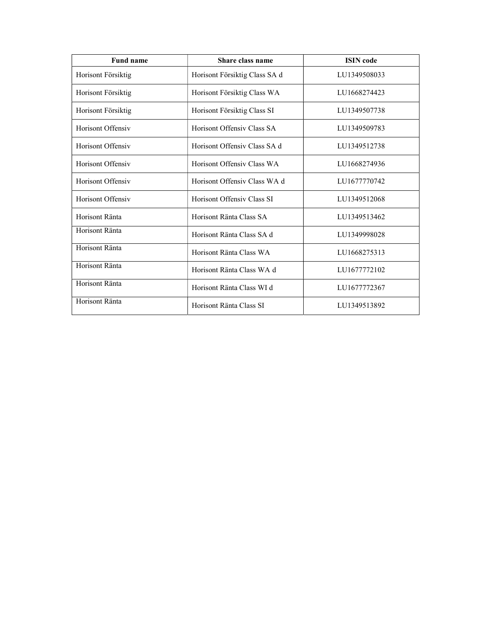| <b>Fund name</b>   | Share class name              | <b>ISIN</b> code |
|--------------------|-------------------------------|------------------|
| Horisont Försiktig | Horisont Försiktig Class SA d | LU1349508033     |
| Horisont Försiktig | Horisont Försiktig Class WA   | LU1668274423     |
| Horisont Försiktig | Horisont Försiktig Class SI   | LU1349507738     |
| Horisont Offensiv  | Horisont Offensiv Class SA    | LU1349509783     |
| Horisont Offensiv  | Horisont Offensiv Class SA d  | LU1349512738     |
| Horisont Offensiv  | Horisont Offensiv Class WA    | LU1668274936     |
| Horisont Offensiv  | Horisont Offensiv Class WA d  | LU1677770742     |
| Horisont Offensiv  | Horisont Offensiv Class SI    | LU1349512068     |
| Horisont Ränta     | Horisont Ränta Class SA       | LU1349513462     |
| Horisont Ränta     | Horisont Ränta Class SA d     | LU1349998028     |
| Horisont Ränta     | Horisont Ränta Class WA       | LU1668275313     |
| Horisont Ränta     | Horisont Ränta Class WA d     | LU1677772102     |
| Horisont Ränta     | Horisont Ränta Class WI d     | LU1677772367     |
| Horisont Ränta     | Horisont Ränta Class SI       | LU1349513892     |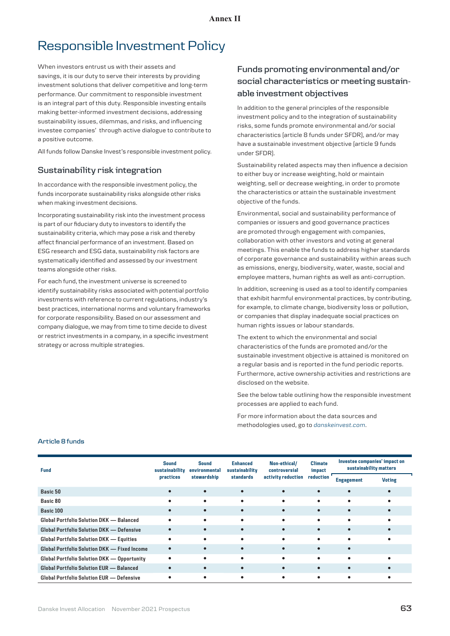# Responsible Investment Policy

When investors entrust us with their assets and savings, it is our duty to serve their interests by providing investment solutions that deliver competitive and long-term performance. Our commitment to responsible investment is an integral part of this duty. Responsible investing entails making better-informed investment decisions, addressing sustainability issues, dilemmas, and risks, and influencing investee companies' through active dialogue to contribute to a positive outcome.

All funds follow Danske Invest's responsible investment policy.

# **Sustainability risk integration**

In accordance with the responsible investment policy, the funds incorporate sustainability risks alongside other risks when making investment decisions.

Incorporating sustainability risk into the investment process is part of our fiduciary duty to investors to identify the sustainability criteria, which may pose a risk and thereby affect financial performance of an investment. Based on ESG research and ESG data, sustainability risk factors are systematically identified and assessed by our investment teams alongside other risks.

For each fund, the investment universe is screened to identify sustainability risks associated with potential portfolio investments with reference to current regulations, industry's best practices, international norms and voluntary frameworks for corporate responsibility. Based on our assessment and company dialogue, we may from time to time decide to divest or restrict investments in a company, in a specific investment strategy or across multiple strategies.

# **Funds promoting environmental and/or social characteristics or meeting sustainable investment objectives**

In addition to the general principles of the responsible investment policy and to the integration of sustainability risks, some funds promote environmental and/or social characteristics (article 8 funds under SFDR), and/or may have a sustainable investment objective (article 9 funds under SFDR).

Sustainability related aspects may then influence a decision to either buy or increase weighting, hold or maintain weighting, sell or decrease weighting, in order to promote the characteristics or attain the sustainable investment objective of the funds.

Environmental, social and sustainability performance of companies or issuers and good governance practices are promoted through engagement with companies, collaboration with other investors and voting at general meetings. This enable the funds to address higher standards of corporate governance and sustainability within areas such as emissions, energy, biodiversity, water, waste, social and employee matters, human rights as well as anti-corruption.

In addition, screening is used as a tool to identify companies that exhibit harmful environmental practices, by contributing, for example, to climate change, biodiversity loss or pollution, or companies that display inadequate social practices on human rights issues or labour standards.

The extent to which the environmental and social characteristics of the funds are promoted and/or the sustainable investment objective is attained is monitored on a regular basis and is reported in the fund periodic reports. Furthermore, active ownership activities and restrictions are disclosed on the website.

See the below table outlining how the responsible investment processes are applied to each fund.

For more information about the data sources and methodologies used, go to *[danskeinvest.c](http://www.danskeinvest.com)om*.

| <b>Fund</b>                                     | <b>Sound</b><br>sustainability | Sound<br>environmental | <b>Enhanced</b><br>sustainability | Non-ethical/<br>controversial | <b>Climate</b><br>impact | Investee companies' impact on<br>sustainability matters |               |  |
|-------------------------------------------------|--------------------------------|------------------------|-----------------------------------|-------------------------------|--------------------------|---------------------------------------------------------|---------------|--|
|                                                 | practices                      | stewardship            | standards                         | activity reduction            | reduction                | <b>Engagement</b>                                       | <b>Voting</b> |  |
| Basic 50                                        |                                | $\bullet$              |                                   |                               |                          |                                                         |               |  |
| Basic 80                                        |                                | ٠                      |                                   |                               |                          |                                                         |               |  |
| Basic 100                                       |                                |                        |                                   |                               |                          |                                                         |               |  |
| Global Portfolio Solution DKK - Balanced        |                                | ٠                      |                                   |                               |                          |                                                         |               |  |
| Global Portfolio Solution DKK - Defensive       |                                | $\bullet$              |                                   | $\bullet$                     | $\bullet$                | $\bullet$                                               |               |  |
| Global Portfolio Solution DKK - Equities        |                                | ٠                      |                                   |                               |                          |                                                         |               |  |
| Global Portfolio Solution DKK - Fixed Income    |                                | $\bullet$              |                                   |                               |                          |                                                         |               |  |
| Global Portfolio Solution DKK - Opportunity     |                                | ٠                      |                                   |                               |                          |                                                         |               |  |
| <b>Global Portfolio Solution EUR - Balanced</b> |                                | $\bullet$              |                                   |                               |                          |                                                         |               |  |
| Global Portfolio Solution EUR - Defensive       |                                | ٠                      |                                   | ٠                             | ٠                        | ٠                                                       |               |  |

## **Article 8 funds**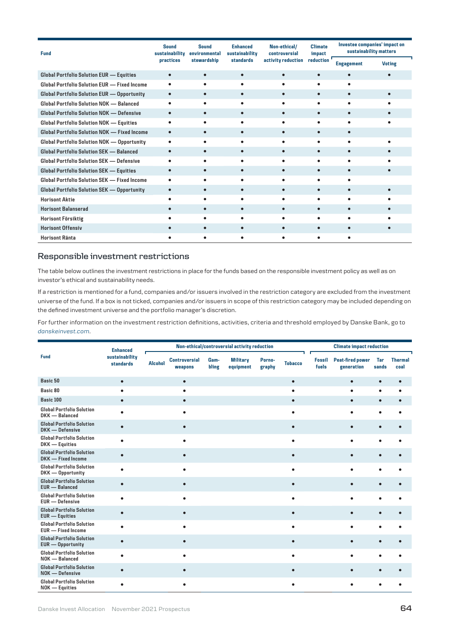| <b>Fund</b>                                         | <b>Sound</b><br>sustainability | <b>Sound</b><br>environmental | <b>Enhanced</b><br>sustainability | Non-ethical/<br>controversial | <b>Climate</b><br>impact | Investee companies' impact on<br>sustainability matters |               |  |
|-----------------------------------------------------|--------------------------------|-------------------------------|-----------------------------------|-------------------------------|--------------------------|---------------------------------------------------------|---------------|--|
|                                                     | practices                      | stewardship                   | standards                         | activity reduction            | reduction                | <b>Engagement</b>                                       | <b>Voting</b> |  |
| Global Portfolio Solution EUR - Equities            | $\bullet$                      | $\bullet$                     | $\bullet$                         | $\bullet$                     |                          |                                                         |               |  |
| Global Portfolio Solution EUR - Fixed Income        |                                |                               |                                   |                               |                          |                                                         |               |  |
| Global Portfolio Solution EUR - Opportunity         |                                |                               |                                   |                               |                          |                                                         |               |  |
| Global Portfolio Solution NOK - Balanced            |                                | ٠                             |                                   |                               |                          |                                                         |               |  |
| Global Portfolio Solution NOK - Defensive           |                                | $\bullet$                     |                                   |                               |                          |                                                         |               |  |
| Global Portfolio Solution NOK - Equities            |                                |                               |                                   |                               |                          |                                                         |               |  |
| Global Portfolio Solution NOK - Fixed Income        |                                | $\bullet$                     |                                   |                               |                          |                                                         |               |  |
| Global Portfolio Solution NOK - Opportunity         | ٠                              | ٠                             |                                   |                               |                          |                                                         |               |  |
| Global Portfolio Solution SEK - Balanced            |                                |                               |                                   |                               |                          |                                                         |               |  |
| Global Portfolio Solution SEK - Defensive           |                                |                               |                                   |                               |                          |                                                         |               |  |
| Global Portfolio Solution SEK - Equities            |                                |                               |                                   |                               |                          |                                                         |               |  |
| <b>Global Portfolio Solution SEK — Fixed Income</b> |                                |                               |                                   |                               |                          |                                                         |               |  |
| <b>Global Portfolio Solution SEK - Opportunity</b>  |                                |                               |                                   |                               |                          |                                                         |               |  |
| <b>Horisont Aktie</b>                               |                                |                               |                                   |                               |                          |                                                         |               |  |
| <b>Horisont Balanserad</b>                          |                                |                               |                                   |                               |                          |                                                         |               |  |
| Horisont Försiktig                                  |                                |                               |                                   |                               |                          |                                                         |               |  |
| <b>Horisont Offensiv</b>                            |                                |                               |                                   |                               |                          |                                                         |               |  |
| Horisont Ränta                                      |                                |                               |                                   |                               |                          |                                                         |               |  |

# **Responsible investment restrictions**

The table below outlines the investment restrictions in place for the funds based on the responsible investment policy as well as on investor's ethical and sustainability needs.

If a restriction is mentioned for a fund, companies and/or issuers involved in the restriction category are excluded from the investment universe of the fund. If a box is not ticked, companies and/or issuers in scope of this restriction category may be included depending on the defined investment universe and the portfolio manager's discretion.

For further information on the investment restriction definitions, activities, criteria and threshold employed by Danske Bank, go to *[danskeinvest.c](http://www.danskeinvest.com)om*.

|                                                               | <b>Enhanced</b>             | Non-ethical/controversial activity reduction |                                 |               |                              |                  |                | <b>Climate impact reduction</b> |                                       |              |                        |
|---------------------------------------------------------------|-----------------------------|----------------------------------------------|---------------------------------|---------------|------------------------------|------------------|----------------|---------------------------------|---------------------------------------|--------------|------------------------|
| <b>Fund</b>                                                   | sustainability<br>standards |                                              | <b>Controversial</b><br>weapons | Gam-<br>bling | <b>Military</b><br>equipment | Porno-<br>graphy | <b>Tobacco</b> | <b>Fossil</b><br>fuels          | <b>Peat-fired power</b><br>generation | Tar<br>sands | <b>Thermal</b><br>coal |
| Basic 50                                                      | $\bullet$                   |                                              | $\bullet$                       |               |                              |                  | $\bullet$      |                                 | $\bullet$                             | $\bullet$    | $\bullet$              |
| Basic 80                                                      |                             |                                              | ٠                               |               |                              |                  |                |                                 | ٠                                     | $\bullet$    | ٠                      |
| Basic 100                                                     | $\bullet$                   |                                              | $\bullet$                       |               |                              |                  | $\bullet$      |                                 | $\bullet$                             | $\bullet$    |                        |
| <b>Global Portfolio Solution</b><br>DKK - Balanced            | ٠                           |                                              |                                 |               |                              |                  |                |                                 |                                       | $\bullet$    | ٠                      |
| <b>Global Portfolio Solution</b><br>DKK - Defensive           | $\bullet$                   |                                              | $\bullet$                       |               |                              |                  | $\bullet$      |                                 |                                       | $\bullet$    |                        |
| <b>Global Portfolio Solution</b><br>DKK - Equities            | $\bullet$                   |                                              | ٠                               |               |                              |                  |                |                                 |                                       | ٠            |                        |
| <b>Global Portfolio Solution</b><br>DKK - Fixed Income        | $\bullet$                   |                                              |                                 |               |                              |                  |                |                                 |                                       |              |                        |
| <b>Global Portfolio Solution</b><br>DKK - Opportunity         | ٠                           |                                              |                                 |               |                              |                  |                |                                 |                                       |              |                        |
| <b>Global Portfolio Solution</b><br><b>EUR</b> - Balanced     | $\bullet$                   |                                              | $\bullet$                       |               |                              |                  | $\bullet$      |                                 |                                       | $\bullet$    | $\bullet$              |
| <b>Global Portfolio Solution</b><br><b>EUR</b> - Defensive    | $\bullet$                   |                                              | ٠                               |               |                              |                  | 6              |                                 | ٠                                     | $\bullet$    | ٠                      |
| <b>Global Portfolio Solution</b><br><b>EUR</b> - Equities     | $\bullet$                   |                                              |                                 |               |                              |                  |                |                                 |                                       | $\bullet$    |                        |
| <b>Global Portfolio Solution</b><br><b>EUR</b> - Fixed Income | ٠                           |                                              |                                 |               |                              |                  | ۰              |                                 |                                       | ٠            |                        |
| <b>Global Portfolio Solution</b><br><b>EUR</b> - Opportunity  | $\bullet$                   |                                              | $\bullet$                       |               |                              |                  | ō              |                                 |                                       | $\bullet$    |                        |
| <b>Global Portfolio Solution</b><br>NOK - Balanced            | ٠                           |                                              |                                 |               |                              |                  |                |                                 |                                       | ٠            |                        |
| <b>Global Portfolio Solution</b><br>NOK - Defensive           | $\bullet$                   |                                              | $\bullet$                       |               |                              |                  |                |                                 |                                       |              |                        |
| <b>Global Portfolio Solution</b><br>NOK - Equities            | $\bullet$                   |                                              | ٠                               |               |                              |                  | ٠              |                                 |                                       | ٠            | $\bullet$              |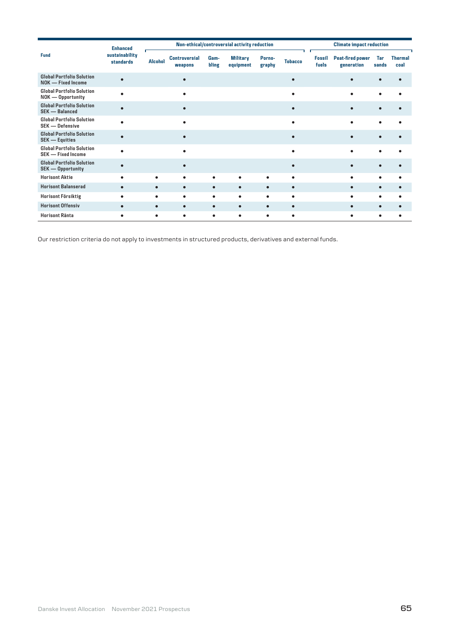|                                                               | <b>Enhanced</b>             |                |                                 |               | Non-ethical/controversial activity reduction |                  |                |                        | <b>Climate impact reduction</b>       |              |                        |
|---------------------------------------------------------------|-----------------------------|----------------|---------------------------------|---------------|----------------------------------------------|------------------|----------------|------------------------|---------------------------------------|--------------|------------------------|
| <b>Fund</b>                                                   | sustainability<br>standards | <b>Alcohol</b> | <b>Controversial</b><br>weapons | Gam-<br>bling | <b>Military</b><br>equipment                 | Porno-<br>graphy | <b>Tobacco</b> | <b>Fossil</b><br>fuels | <b>Peat-fired power</b><br>generation | Tar<br>sands | <b>Thermal</b><br>coal |
| <b>Global Portfolio Solution</b><br>NOK - Fixed Income        |                             |                |                                 |               |                                              |                  |                |                        |                                       |              |                        |
| <b>Global Portfolio Solution</b><br>NOK - Opportunity         |                             |                |                                 |               |                                              |                  |                |                        | ٠                                     |              |                        |
| <b>Global Portfolio Solution</b><br><b>SEK - Balanced</b>     |                             |                |                                 |               |                                              |                  |                |                        | $\bullet$                             | $\bullet$    |                        |
| <b>Global Portfolio Solution</b><br><b>SEK - Defensive</b>    |                             |                | ٠                               |               |                                              |                  |                |                        | ٠                                     |              |                        |
| <b>Global Portfolio Solution</b><br><b>SEK — Equities</b>     |                             |                | $\bullet$                       |               |                                              |                  |                |                        | $\bullet$                             |              |                        |
| <b>Global Portfolio Solution</b><br><b>SEK - Fixed Income</b> |                             |                |                                 |               |                                              |                  |                |                        |                                       |              |                        |
| <b>Global Portfolio Solution</b><br><b>SEK - Opportunity</b>  |                             |                |                                 |               |                                              |                  |                |                        |                                       |              |                        |
| <b>Horisont Aktie</b>                                         |                             |                | $\bullet$                       | ٠             | $\bullet$                                    | ٠                | ٠              |                        | ٠                                     | ٠            |                        |
| <b>Horisont Balanserad</b>                                    | $\bullet$                   | $\bullet$      | $\bullet$                       | $\bullet$     | $\bullet$                                    | $\bullet$        | $\bullet$      |                        | $\bullet$                             | ٠            |                        |
| <b>Horisont Försiktig</b>                                     | ٠                           |                | ۰                               | ٠             | ٠                                            |                  | ٠              |                        | ٠                                     |              |                        |
| <b>Horisont Offensiv</b>                                      | $\bullet$                   | $\bullet$      | $\bullet$                       | $\bullet$     | $\bullet$                                    | $\bullet$        | $\bullet$      |                        | $\bullet$                             |              |                        |
| <b>Horisont Ränta</b>                                         | ٠                           | ٠              | $\bullet$                       | ٠             | ٠                                            | ٠                | ٠              |                        | $\bullet$                             | ٠            |                        |

Our restriction criteria do not apply to investments in structured products, derivatives and external funds.